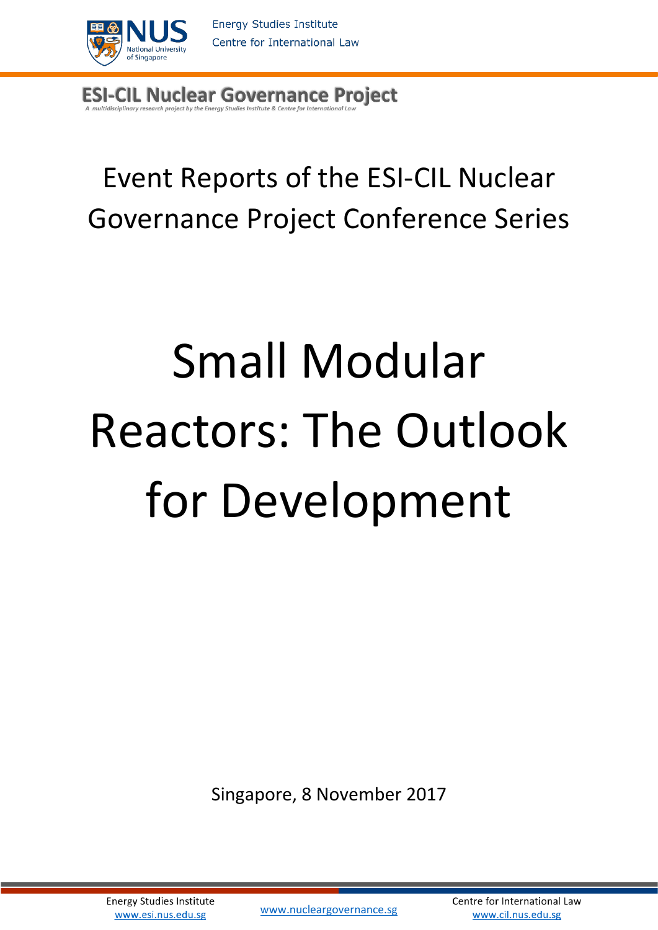

**Energy Studies Institute** Centre for International Law

**ESI-CIL Nuclear Governance Project** search project by the Energy Studies Institute & Centre for Internati

# Event Reports of the ESI-CIL Nuclear Governance Project Conference Series

# Small Modular Reactors: The Outlook for Development

Singapore, 8 November 2017

**Energy Studies Institute** www.esi.nus.edu.sg

[www.nucleargovernance.sg](http://www.nucleargovernance.sg/)

Centre for International Law www.cil.nus.edu.sg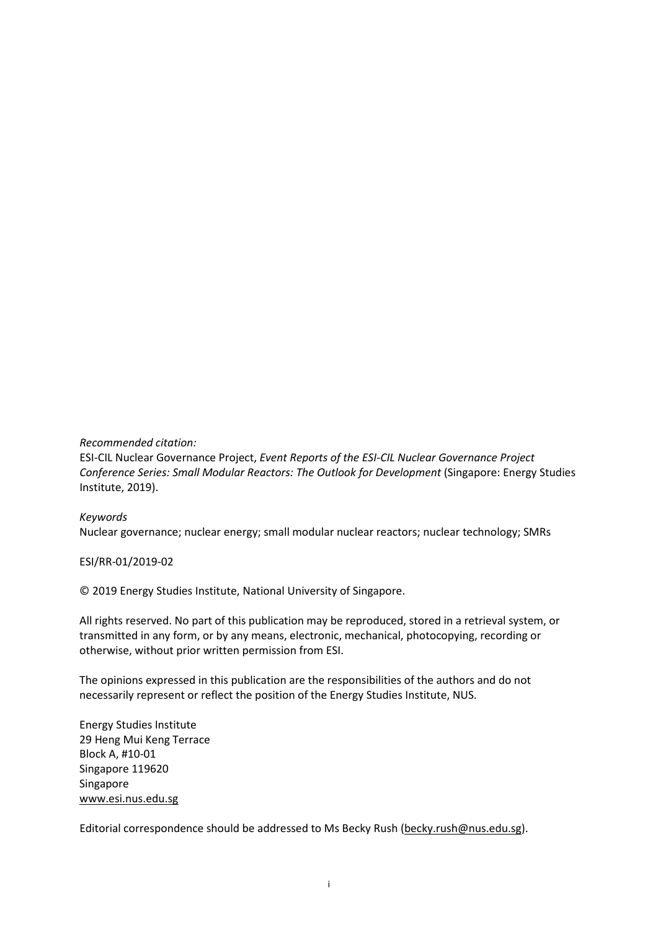#### *Recommended citation:*

ESI-CIL Nuclear Governance Project, *Event Reports of the ESI-CIL Nuclear Governance Project Conference Series: Small Modular Reactors: The Outlook for Development* (Singapore: Energy Studies Institute, 2019).

#### *Keywords*

Nuclear governance; nuclear energy; small modular nuclear reactors; nuclear technology; SMRs

ESI/RR-01/2019-02

© 2019 Energy Studies Institute, National University of Singapore.

All rights reserved. No part of this publication may be reproduced, stored in a retrieval system, or transmitted in any form, or by any means, electronic, mechanical, photocopying, recording or otherwise, without prior written permission from ESI.

The opinions expressed in this publication are the responsibilities of the authors and do not necessarily represent or reflect the position of the Energy Studies Institute, NUS.

Energy Studies Institute 29 Heng Mui Keng Terrace Block A, #10-01 Singapore 119620 Singapore [www.esi.nus.edu.sg](http://www.esi.nus.edu.sg/)

Editorial correspondence should be addressed to Ms Becky Rush [\(becky.rush@nus.edu.sg\)](mailto:becky.rush@nus.edu.sg).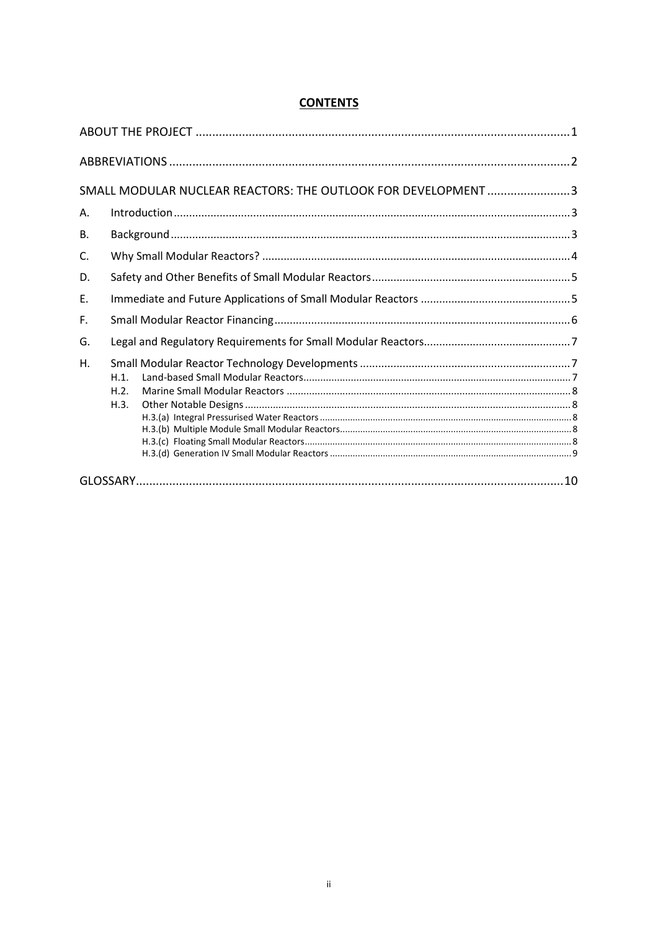|           | SMALL MODULAR NUCLEAR REACTORS: THE OUTLOOK FOR DEVELOPMENT 3 |  |  |
|-----------|---------------------------------------------------------------|--|--|
| Α.        |                                                               |  |  |
| <b>B.</b> |                                                               |  |  |
| C.        |                                                               |  |  |
| D.        |                                                               |  |  |
| E.        |                                                               |  |  |
| F.        |                                                               |  |  |
| G.        |                                                               |  |  |
| Η.        | H.1.<br>H.2.<br>H.3.                                          |  |  |
|           |                                                               |  |  |

# **CONTENTS**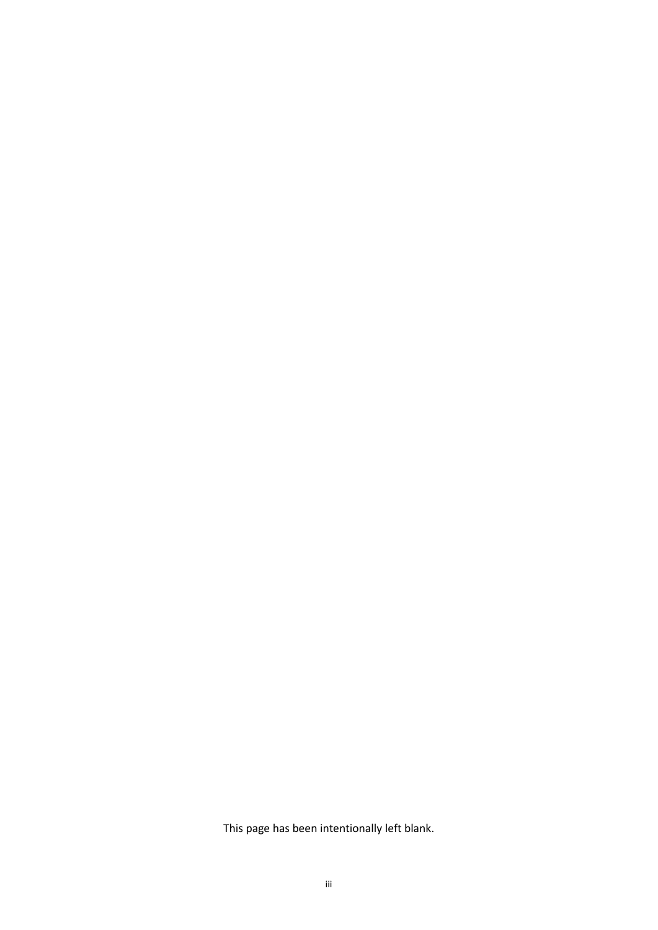This page has been intentionally left blank.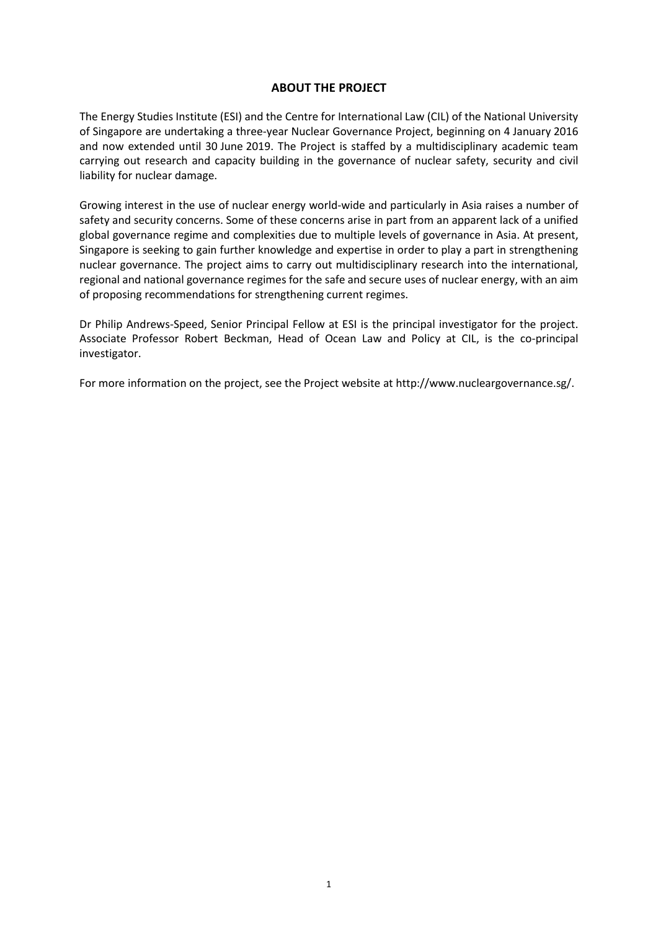#### **ABOUT THE PROJECT**

<span id="page-4-0"></span>The Energy Studies Institute (ESI) and the Centre for International Law (CIL) of the National University of Singapore are undertaking a three-year Nuclear Governance Project, beginning on 4 January 2016 and now extended until 30 June 2019. The Project is staffed by a multidisciplinary academic team carrying out research and capacity building in the governance of nuclear safety, security and civil liability for nuclear damage.

Growing interest in the use of nuclear energy world-wide and particularly in Asia raises a number of safety and security concerns. Some of these concerns arise in part from an apparent lack of a unified global governance regime and complexities due to multiple levels of governance in Asia. At present, Singapore is seeking to gain further knowledge and expertise in order to play a part in strengthening nuclear governance. The project aims to carry out multidisciplinary research into the international, regional and national governance regimes for the safe and secure uses of nuclear energy, with an aim of proposing recommendations for strengthening current regimes.

Dr Philip Andrews-Speed, Senior Principal Fellow at ESI is the principal investigator for the project. Associate Professor Robert Beckman, Head of Ocean Law and Policy at CIL, is the co-principal investigator.

For more information on the project, see the Project website at [http://www.nucleargovernance.sg/.](http://www.nucleargovernance.sg/)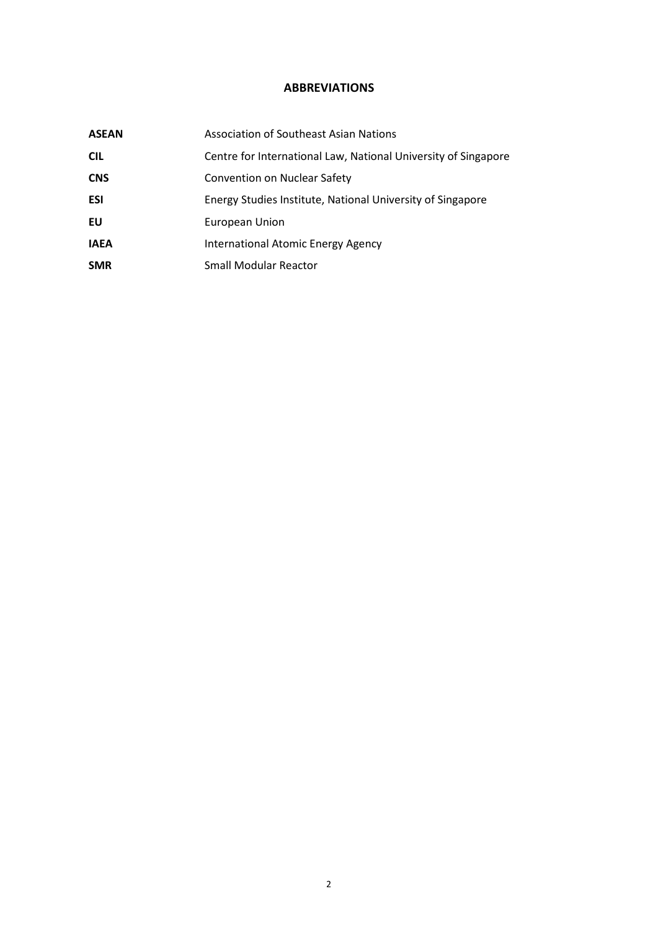#### **ABBREVIATIONS**

<span id="page-5-0"></span>

| <b>ASEAN</b> | <b>Association of Southeast Asian Nations</b>                  |
|--------------|----------------------------------------------------------------|
| <b>CIL</b>   | Centre for International Law, National University of Singapore |
| <b>CNS</b>   | <b>Convention on Nuclear Safety</b>                            |
| ESI          | Energy Studies Institute, National University of Singapore     |
| EU           | European Union                                                 |
| <b>IAEA</b>  | <b>International Atomic Energy Agency</b>                      |
| <b>SMR</b>   | Small Modular Reactor                                          |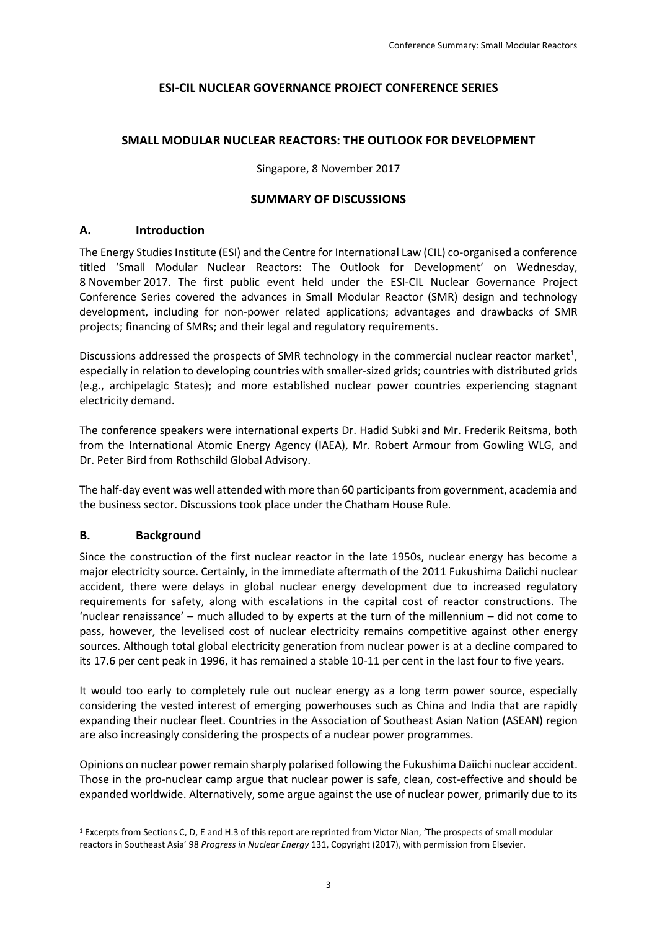#### **ESI-CIL NUCLEAR GOVERNANCE PROJECT CONFERENCE SERIES**

#### <span id="page-6-0"></span>**SMALL MODULAR NUCLEAR REACTORS: THE OUTLOOK FOR DEVELOPMENT**

Singapore, 8 November 2017

#### **SUMMARY OF DISCUSSIONS**

#### <span id="page-6-1"></span>**A. Introduction**

The Energy Studies Institute (ESI) and the Centre for International Law (CIL) co-organised a conference titled 'Small Modular Nuclear Reactors: The Outlook for Development' on Wednesday, 8 November 2017. The first public event held under the ESI-CIL Nuclear Governance Project Conference Series covered the advances in Small Modular Reactor (SMR) design and technology development, including for non-power related applications; advantages and drawbacks of SMR projects; financing of SMRs; and their legal and regulatory requirements.

Discussions addressed the prospects of SMR technology in the commercial nuclear reactor market<sup>[1](#page-6-3)</sup>, especially in relation to developing countries with smaller-sized grids; countries with distributed grids (e.g., archipelagic States); and more established nuclear power countries experiencing stagnant electricity demand.

The conference speakers were international experts Dr. Hadid Subki and Mr. Frederik Reitsma, both from the International Atomic Energy Agency (IAEA), Mr. Robert Armour from Gowling WLG, and Dr. Peter Bird from Rothschild Global Advisory.

The half-day event was well attended with more than 60 participants from government, academia and the business sector. Discussions took place under the Chatham House Rule.

#### <span id="page-6-2"></span>**B. Background**

Since the construction of the first nuclear reactor in the late 1950s, nuclear energy has become a major electricity source. Certainly, in the immediate aftermath of the 2011 Fukushima Daiichi nuclear accident, there were delays in global nuclear energy development due to increased regulatory requirements for safety, along with escalations in the capital cost of reactor constructions. The 'nuclear renaissance' – much alluded to by experts at the turn of the millennium – did not come to pass, however, the levelised cost of nuclear electricity remains competitive against other energy sources. Although total global electricity generation from nuclear power is at a decline compared to its 17.6 per cent peak in 1996, it has remained a stable 10-11 per cent in the last four to five years.

It would too early to completely rule out nuclear energy as a long term power source, especially considering the vested interest of emerging powerhouses such as China and India that are rapidly expanding their nuclear fleet. Countries in the Association of Southeast Asian Nation (ASEAN) region are also increasingly considering the prospects of a nuclear power programmes.

Opinions on nuclear power remain sharply polarised following the Fukushima Daiichi nuclear accident. Those in the pro-nuclear camp argue that nuclear power is safe, clean, cost-effective and should be expanded worldwide. Alternatively, some argue against the use of nuclear power, primarily due to its

<span id="page-6-3"></span> <sup>1</sup> Excerpts from Sections C, D, E and H.3 of this report are reprinted from Victor Nian, 'The prospects of small modular reactors in Southeast Asia' 98 *Progress in Nuclear Energy* 131, Copyright (2017), with permission from Elsevier.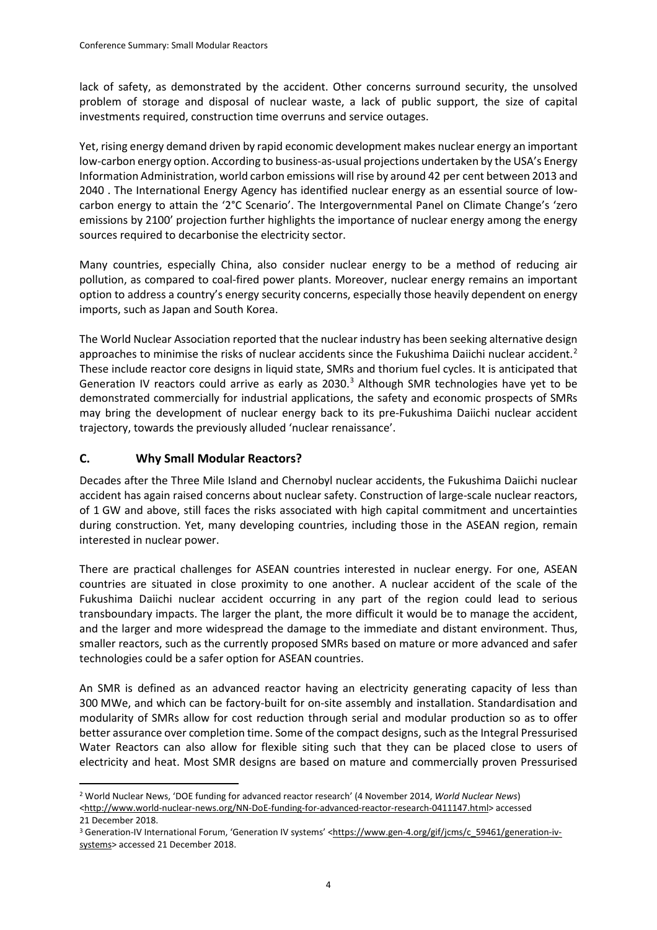lack of safety, as demonstrated by the accident. Other concerns surround security, the unsolved problem of storage and disposal of nuclear waste, a lack of public support, the size of capital investments required, construction time overruns and service outages.

Yet, rising energy demand driven by rapid economic development makes nuclear energy an important low-carbon energy option. According to business-as-usual projections undertaken by the USA's Energy Information Administration, world carbon emissions will rise by around 42 per cent between 2013 and 2040 . The International Energy Agency has identified nuclear energy as an essential source of lowcarbon energy to attain the '2°C Scenario'. The Intergovernmental Panel on Climate Change's 'zero emissions by 2100' projection further highlights the importance of nuclear energy among the energy sources required to decarbonise the electricity sector.

Many countries, especially China, also consider nuclear energy to be a method of reducing air pollution, as compared to coal-fired power plants. Moreover, nuclear energy remains an important option to address a country's energy security concerns, especially those heavily dependent on energy imports, such as Japan and South Korea.

The World Nuclear Association reported that the nuclear industry has been seeking alternative design approaches to minimise the risks of nuclear accidents since the Fukushima Daiichi nuclear accident.<sup>[2](#page-7-1)</sup> These include reactor core designs in liquid state, SMRs and thorium fuel cycles. It is anticipated that Generation IV reactors could arrive as early as  $2030<sup>3</sup>$  $2030<sup>3</sup>$  $2030<sup>3</sup>$  Although SMR technologies have yet to be demonstrated commercially for industrial applications, the safety and economic prospects of SMRs may bring the development of nuclear energy back to its pre-Fukushima Daiichi nuclear accident trajectory, towards the previously alluded 'nuclear renaissance'.

# <span id="page-7-0"></span>**C. Why Small Modular Reactors?**

Decades after the Three Mile Island and Chernobyl nuclear accidents, the Fukushima Daiichi nuclear accident has again raised concerns about nuclear safety. Construction of large-scale nuclear reactors, of 1 GW and above, still faces the risks associated with high capital commitment and uncertainties during construction. Yet, many developing countries, including those in the ASEAN region, remain interested in nuclear power.

There are practical challenges for ASEAN countries interested in nuclear energy. For one, ASEAN countries are situated in close proximity to one another. A nuclear accident of the scale of the Fukushima Daiichi nuclear accident occurring in any part of the region could lead to serious transboundary impacts. The larger the plant, the more difficult it would be to manage the accident, and the larger and more widespread the damage to the immediate and distant environment. Thus, smaller reactors, such as the currently proposed SMRs based on mature or more advanced and safer technologies could be a safer option for ASEAN countries.

An SMR is defined as an advanced reactor having an electricity generating capacity of less than 300 MWe, and which can be factory-built for on-site assembly and installation. Standardisation and modularity of SMRs allow for cost reduction through serial and modular production so as to offer better assurance over completion time. Some of the compact designs, such as the Integral Pressurised Water Reactors can also allow for flexible siting such that they can be placed close to users of electricity and heat. Most SMR designs are based on mature and commercially proven Pressurised

<span id="page-7-1"></span> <sup>2</sup> World Nuclear News, 'DOE funding for advanced reactor research' (4 November 2014, *World Nuclear News*) [<http://www.world-nuclear-news.org/NN-DoE-funding-for-advanced-reactor-research-0411147.html>](http://www.world-nuclear-news.org/NN-DoE-funding-for-advanced-reactor-research-0411147.html) accessed 21 December 2018.

<span id="page-7-2"></span><sup>&</sup>lt;sup>3</sup> Generation-IV International Forum, 'Generation IV systems' [<https://www.gen-4.org/gif/jcms/c\\_59461/generation-iv](https://www.gen-4.org/gif/jcms/c_59461/generation-iv-systems)[systems>](https://www.gen-4.org/gif/jcms/c_59461/generation-iv-systems) accessed 21 December 2018.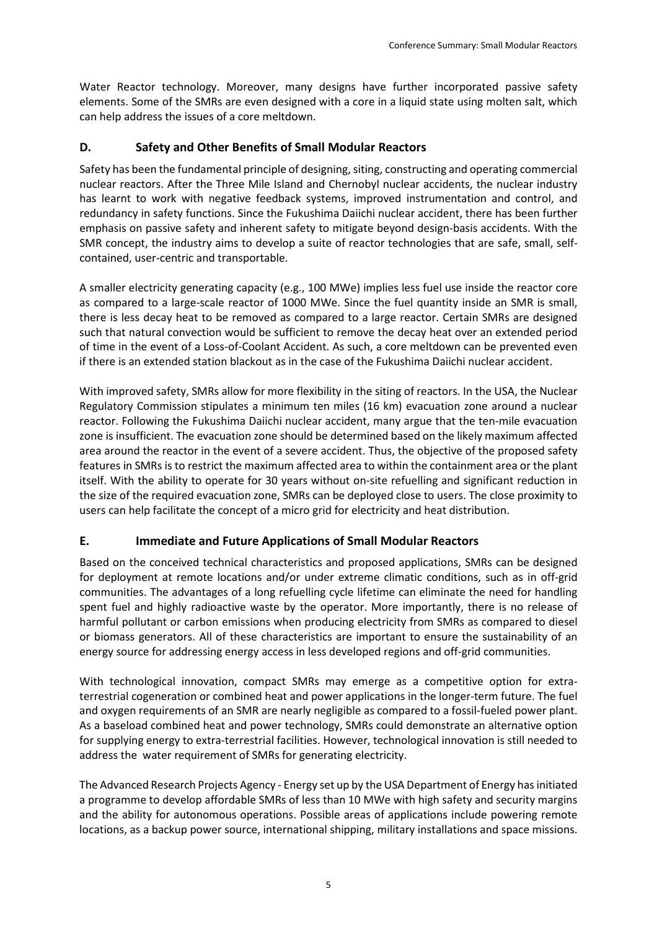Water Reactor technology. Moreover, many designs have further incorporated passive safety elements. Some of the SMRs are even designed with a core in a liquid state using molten salt, which can help address the issues of a core meltdown.

# <span id="page-8-0"></span>**D. Safety and Other Benefits of Small Modular Reactors**

Safety has been the fundamental principle of designing, siting, constructing and operating commercial nuclear reactors. After the Three Mile Island and Chernobyl nuclear accidents, the nuclear industry has learnt to work with negative feedback systems, improved instrumentation and control, and redundancy in safety functions. Since the Fukushima Daiichi nuclear accident, there has been further emphasis on passive safety and inherent safety to mitigate beyond design-basis accidents. With the SMR concept, the industry aims to develop a suite of reactor technologies that are safe, small, selfcontained, user-centric and transportable.

A smaller electricity generating capacity (e.g., 100 MWe) implies less fuel use inside the reactor core as compared to a large-scale reactor of 1000 MWe. Since the fuel quantity inside an SMR is small, there is less decay heat to be removed as compared to a large reactor. Certain SMRs are designed such that natural convection would be sufficient to remove the decay heat over an extended period of time in the event of a Loss-of-Coolant Accident. As such, a core meltdown can be prevented even if there is an extended station blackout as in the case of the Fukushima Daiichi nuclear accident.

With improved safety, SMRs allow for more flexibility in the siting of reactors. In the USA, the Nuclear Regulatory Commission stipulates a minimum ten miles (16 km) evacuation zone around a nuclear reactor. Following the Fukushima Daiichi nuclear accident, many argue that the ten-mile evacuation zone is insufficient. The evacuation zone should be determined based on the likely maximum affected area around the reactor in the event of a severe accident. Thus, the objective of the proposed safety features in SMRs is to restrict the maximum affected area to within the containment area or the plant itself. With the ability to operate for 30 years without on-site refuelling and significant reduction in the size of the required evacuation zone, SMRs can be deployed close to users. The close proximity to users can help facilitate the concept of a micro grid for electricity and heat distribution.

# <span id="page-8-1"></span>**E. Immediate and Future Applications of Small Modular Reactors**

Based on the conceived technical characteristics and proposed applications, SMRs can be designed for deployment at remote locations and/or under extreme climatic conditions, such as in off-grid communities. The advantages of a long refuelling cycle lifetime can eliminate the need for handling spent fuel and highly radioactive waste by the operator. More importantly, there is no release of harmful pollutant or carbon emissions when producing electricity from SMRs as compared to diesel or biomass generators. All of these characteristics are important to ensure the sustainability of an energy source for addressing energy access in less developed regions and off-grid communities.

With technological innovation, compact SMRs may emerge as a competitive option for extraterrestrial cogeneration or combined heat and power applications in the longer-term future. The fuel and oxygen requirements of an SMR are nearly negligible as compared to a fossil-fueled power plant. As a baseload combined heat and power technology, SMRs could demonstrate an alternative option for supplying energy to extra-terrestrial facilities. However, technological innovation is still needed to address the water requirement of SMRs for generating electricity.

The Advanced Research Projects Agency - Energy set up by the USA Department of Energy has initiated a programme to develop affordable SMRs of less than 10 MWe with high safety and security margins and the ability for autonomous operations. Possible areas of applications include powering remote locations, as a backup power source, international shipping, military installations and space missions.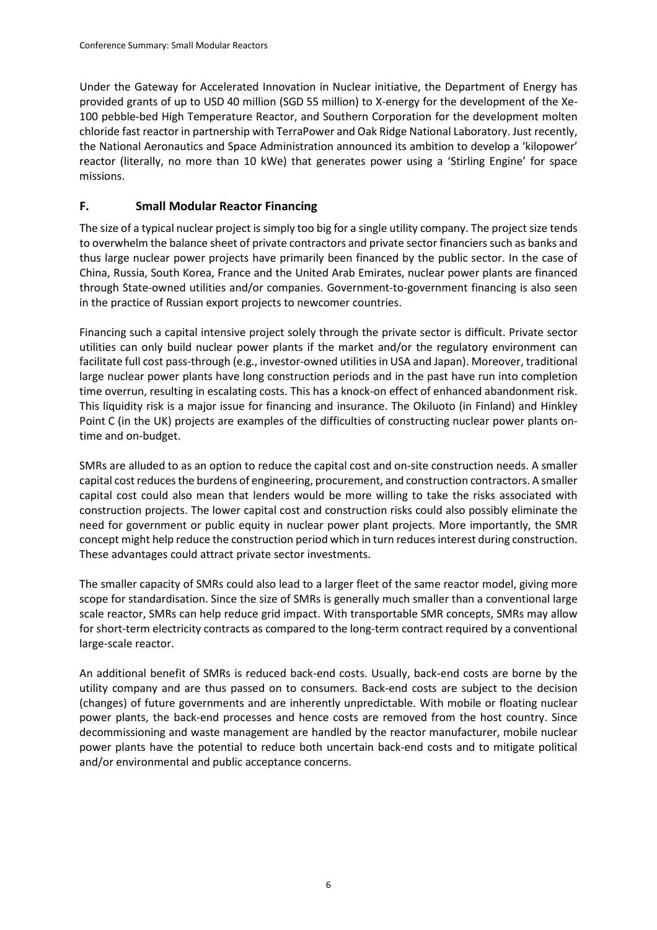Under the Gateway for Accelerated Innovation in Nuclear initiative, the Department of Energy has provided grants of up to USD 40 million (SGD 55 million) to X-energy for the development of the Xe-100 pebble-bed High Temperature Reactor, and Southern Corporation for the development molten chloride fast reactor in partnership with TerraPower and Oak Ridge National Laboratory. Just recently, the National Aeronautics and Space Administration announced its ambition to develop a 'kilopower' reactor (literally, no more than 10 kWe) that generates power using a 'Stirling Engine' for space missions.

#### <span id="page-9-0"></span>**F. Small Modular Reactor Financing**

The size of a typical nuclear project is simply too big for a single utility company. The project size tends to overwhelm the balance sheet of private contractors and private sector financiers such as banks and thus large nuclear power projects have primarily been financed by the public sector. In the case of China, Russia, South Korea, France and the United Arab Emirates, nuclear power plants are financed through State-owned utilities and/or companies. Government-to-government financing is also seen in the practice of Russian export projects to newcomer countries.

Financing such a capital intensive project solely through the private sector is difficult. Private sector utilities can only build nuclear power plants if the market and/or the regulatory environment can facilitate full cost pass-through (e.g., investor-owned utilities in USA and Japan). Moreover, traditional large nuclear power plants have long construction periods and in the past have run into completion time overrun, resulting in escalating costs. This has a knock-on effect of enhanced abandonment risk. This liquidity risk is a major issue for financing and insurance. The Okiluoto (in Finland) and Hinkley Point C (in the UK) projects are examples of the difficulties of constructing nuclear power plants ontime and on-budget.

SMRs are alluded to as an option to reduce the capital cost and on-site construction needs. A smaller capital cost reduces the burdens of engineering, procurement, and construction contractors. A smaller capital cost could also mean that lenders would be more willing to take the risks associated with construction projects. The lower capital cost and construction risks could also possibly eliminate the need for government or public equity in nuclear power plant projects. More importantly, the SMR concept might help reduce the construction period which in turn reduces interest during construction. These advantages could attract private sector investments.

The smaller capacity of SMRs could also lead to a larger fleet of the same reactor model, giving more scope for standardisation. Since the size of SMRs is generally much smaller than a conventional large scale reactor, SMRs can help reduce grid impact. With transportable SMR concepts, SMRs may allow for short-term electricity contracts as compared to the long-term contract required by a conventional large-scale reactor.

An additional benefit of SMRs is reduced back-end costs. Usually, back-end costs are borne by the utility company and are thus passed on to consumers. Back-end costs are subject to the decision (changes) of future governments and are inherently unpredictable. With mobile or floating nuclear power plants, the back-end processes and hence costs are removed from the host country. Since decommissioning and waste management are handled by the reactor manufacturer, mobile nuclear power plants have the potential to reduce both uncertain back-end costs and to mitigate political and/or environmental and public acceptance concerns.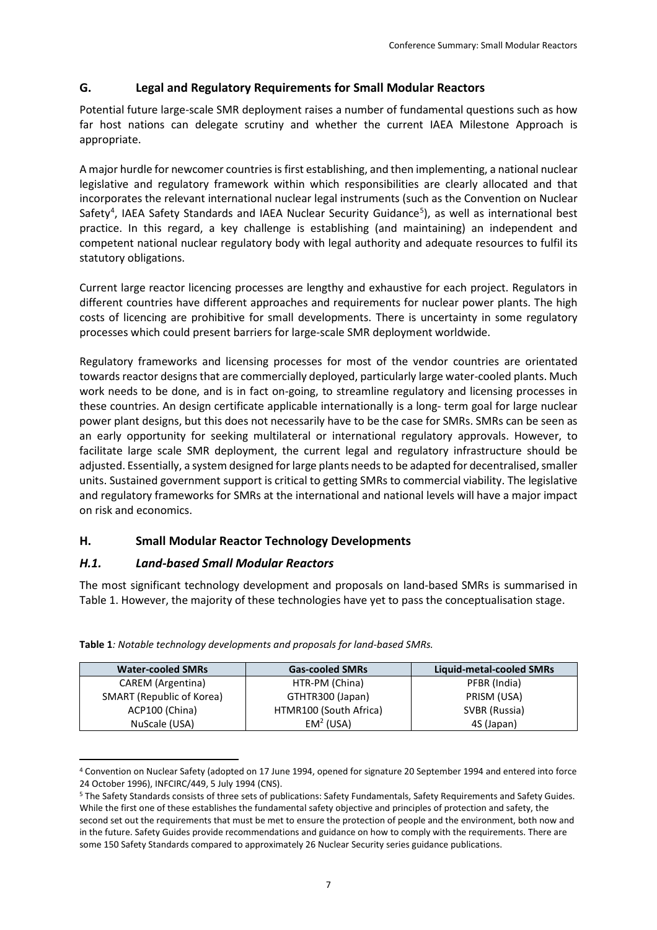# <span id="page-10-0"></span>**G. Legal and Regulatory Requirements for Small Modular Reactors**

Potential future large-scale SMR deployment raises a number of fundamental questions such as how far host nations can delegate scrutiny and whether the current IAEA Milestone Approach is appropriate.

A major hurdle for newcomer countries is first establishing, and then implementing, a national nuclear legislative and regulatory framework within which responsibilities are clearly allocated and that incorporates the relevant international nuclear legal instruments (such as the Convention on Nuclear Safety<sup>[4](#page-10-4)</sup>, IAEA Safety Standards and IAEA Nuclear Security Guidance<sup>[5](#page-10-5)</sup>), as well as international best practice. In this regard, a key challenge is establishing (and maintaining) an independent and competent national nuclear regulatory body with legal authority and adequate resources to fulfil its statutory obligations.

Current large reactor licencing processes are lengthy and exhaustive for each project. Regulators in different countries have different approaches and requirements for nuclear power plants. The high costs of licencing are prohibitive for small developments. There is uncertainty in some regulatory processes which could present barriers for large-scale SMR deployment worldwide.

Regulatory frameworks and licensing processes for most of the vendor countries are orientated towards reactor designs that are commercially deployed, particularly large water-cooled plants. Much work needs to be done, and is in fact on-going, to streamline regulatory and licensing processes in these countries. An design certificate applicable internationally is a long- term goal for large nuclear power plant designs, but this does not necessarily have to be the case for SMRs. SMRs can be seen as an early opportunity for seeking multilateral or international regulatory approvals. However, to facilitate large scale SMR deployment, the current legal and regulatory infrastructure should be adjusted. Essentially, a system designed for large plants needs to be adapted for decentralised, smaller units. Sustained government support is critical to getting SMRs to commercial viability. The legislative and regulatory frameworks for SMRs at the international and national levels will have a major impact on risk and economics.

#### <span id="page-10-1"></span>**H. Small Modular Reactor Technology Developments**

#### <span id="page-10-2"></span>*H.1. Land-based Small Modular Reactors*

The most significant technology development and proposals on land-based SMRs is summarised in [Table 1.](#page-10-3) However, the majority of these technologies have yet to pass the conceptualisation stage.

| <b>Water-cooled SMRs</b>  | <b>Gas-cooled SMRs</b> | Liquid-metal-cooled SMRs |
|---------------------------|------------------------|--------------------------|
| CAREM (Argentina)         | HTR-PM (China)         | PFBR (India)             |
| SMART (Republic of Korea) | GTHTR300 (Japan)       | PRISM (USA)              |
| ACP100 (China)            | HTMR100 (South Africa) | SVBR (Russia)            |
| NuScale (USA)             | EM <sup>2</sup> (USA)  | 4S (Japan)               |

<span id="page-10-3"></span>**Table 1***: Notable technology developments and proposals for land-based SMRs.*

<span id="page-10-4"></span> <sup>4</sup> Convention on Nuclear Safety (adopted on 17 June 1994, opened for signature 20 September 1994 and entered into force 24 October 1996), INFCIRC/449, 5 July 1994 (CNS).

<span id="page-10-5"></span><sup>5</sup> The Safety Standards consists of three sets of publications: Safety Fundamentals, Safety Requirements and Safety Guides. While the first one of these establishes the fundamental safety objective and principles of protection and safety, the second set out the requirements that must be met to ensure the protection of people and the environment, both now and in the future. Safety Guides provide recommendations and guidance on how to comply with the requirements. There are some 150 Safety Standards compared to approximately 26 Nuclear Security series guidance publications.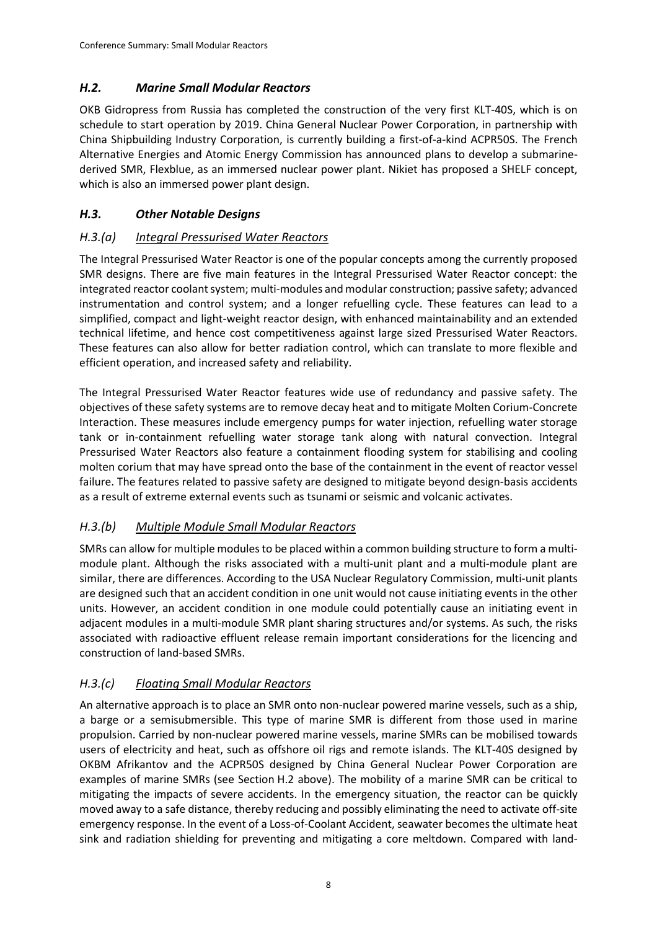# <span id="page-11-5"></span><span id="page-11-0"></span>*H.2. Marine Small Modular Reactors*

OKB Gidropress from Russia has completed the construction of the very first KLT-40S, which is on schedule to start operation by 2019. China General Nuclear Power Corporation, in partnership with China Shipbuilding Industry Corporation, is currently building a first-of-a-kind ACPR50S. The French Alternative Energies and Atomic Energy Commission has announced plans to develop a submarinederived SMR, Flexblue, as an immersed nuclear power plant. Nikiet has proposed a SHELF concept, which is also an immersed power plant design.

# <span id="page-11-1"></span>*H.3. Other Notable Designs*

# <span id="page-11-2"></span>*H.3.(a) Integral Pressurised Water Reactors*

The Integral Pressurised Water Reactor is one of the popular concepts among the currently proposed SMR designs. There are five main features in the Integral Pressurised Water Reactor concept: the integrated reactor coolant system; multi-modules and modular construction; passive safety; advanced instrumentation and control system; and a longer refuelling cycle. These features can lead to a simplified, compact and light-weight reactor design, with enhanced maintainability and an extended technical lifetime, and hence cost competitiveness against large sized Pressurised Water Reactors. These features can also allow for better radiation control, which can translate to more flexible and efficient operation, and increased safety and reliability.

The Integral Pressurised Water Reactor features wide use of redundancy and passive safety. The objectives of these safety systems are to remove decay heat and to mitigate Molten Corium-Concrete Interaction. These measures include emergency pumps for water injection, refuelling water storage tank or in-containment refuelling water storage tank along with natural convection. Integral Pressurised Water Reactors also feature a containment flooding system for stabilising and cooling molten corium that may have spread onto the base of the containment in the event of reactor vessel failure. The features related to passive safety are designed to mitigate beyond design-basis accidents as a result of extreme external events such as tsunami or seismic and volcanic activates.

# <span id="page-11-3"></span>*H.3.(b) Multiple Module Small Modular Reactors*

SMRs can allow for multiple modules to be placed within a common building structure to form a multimodule plant. Although the risks associated with a multi-unit plant and a multi-module plant are similar, there are differences. According to the USA Nuclear Regulatory Commission, multi-unit plants are designed such that an accident condition in one unit would not cause initiating events in the other units. However, an accident condition in one module could potentially cause an initiating event in adjacent modules in a multi-module SMR plant sharing structures and/or systems. As such, the risks associated with radioactive effluent release remain important considerations for the licencing and construction of land-based SMRs.

# <span id="page-11-4"></span>*H.3.(c) Floating Small Modular Reactors*

An alternative approach is to place an SMR onto non-nuclear powered marine vessels, such as a ship, a barge or a semisubmersible. This type of marine SMR is different from those used in marine propulsion. Carried by non-nuclear powered marine vessels, marine SMRs can be mobilised towards users of electricity and heat, such as offshore oil rigs and remote islands. The KLT-40S designed by OKBM Afrikantov and the ACPR50S designed by China General Nuclear Power Corporation are examples of marine SMRs (see Section [H.2 above\)](#page-11-5). The mobility of a marine SMR can be critical to mitigating the impacts of severe accidents. In the emergency situation, the reactor can be quickly moved away to a safe distance, thereby reducing and possibly eliminating the need to activate off-site emergency response. In the event of a Loss-of-Coolant Accident, seawater becomes the ultimate heat sink and radiation shielding for preventing and mitigating a core meltdown. Compared with land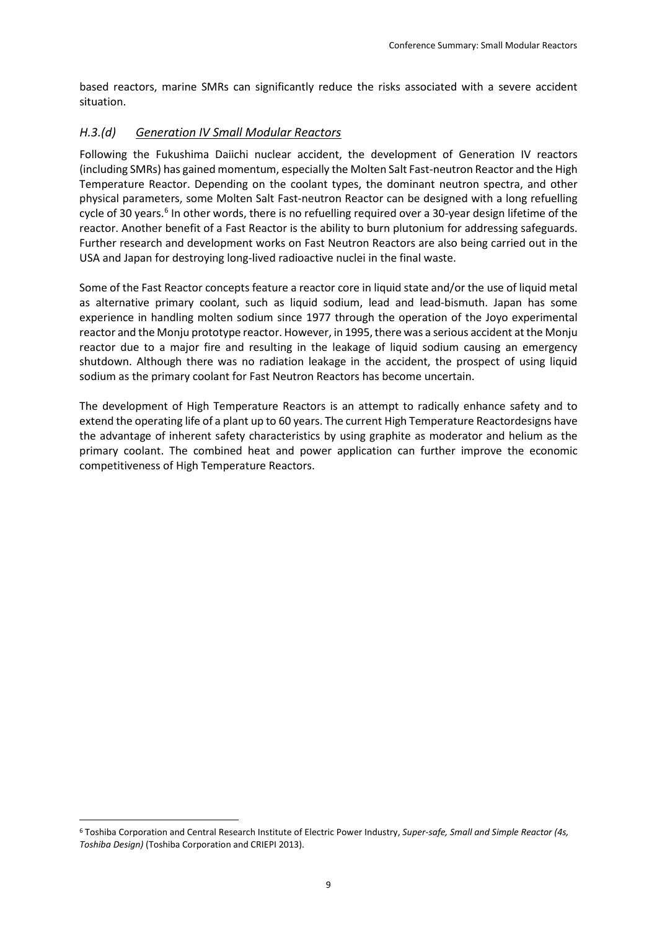based reactors, marine SMRs can significantly reduce the risks associated with a severe accident situation.

# <span id="page-12-0"></span>*H.3.(d) Generation IV Small Modular Reactors*

Following the Fukushima Daiichi nuclear accident, the development of Generation IV reactors (including SMRs) has gained momentum, especially the Molten Salt Fast-neutron Reactor and the High Temperature Reactor. Depending on the coolant types, the dominant neutron spectra, and other physical parameters, some Molten Salt Fast-neutron Reactor can be designed with a long refuelling cycle of 30 years.<sup>[6](#page-12-1)</sup> In other words, there is no refuelling required over a 30-year design lifetime of the reactor. Another benefit of a Fast Reactor is the ability to burn plutonium for addressing safeguards. Further research and development works on Fast Neutron Reactors are also being carried out in the USA and Japan for destroying long-lived radioactive nuclei in the final waste.

Some of the Fast Reactor concepts feature a reactor core in liquid state and/or the use of liquid metal as alternative primary coolant, such as liquid sodium, lead and lead-bismuth. Japan has some experience in handling molten sodium since 1977 through the operation of the Joyo experimental reactor and the Monju prototype reactor. However, in 1995, there was a serious accident at the Monju reactor due to a major fire and resulting in the leakage of liquid sodium causing an emergency shutdown. Although there was no radiation leakage in the accident, the prospect of using liquid sodium as the primary coolant for Fast Neutron Reactors has become uncertain.

The development of High Temperature Reactors is an attempt to radically enhance safety and to extend the operating life of a plant up to 60 years. The current High Temperature Reactordesigns have the advantage of inherent safety characteristics by using graphite as moderator and helium as the primary coolant. The combined heat and power application can further improve the economic competitiveness of High Temperature Reactors.

<span id="page-12-1"></span> <sup>6</sup> Toshiba Corporation and Central Research Institute of Electric Power Industry, *Super-safe, Small and Simple Reactor (4s, Toshiba Design)* (Toshiba Corporation and CRIEPI 2013).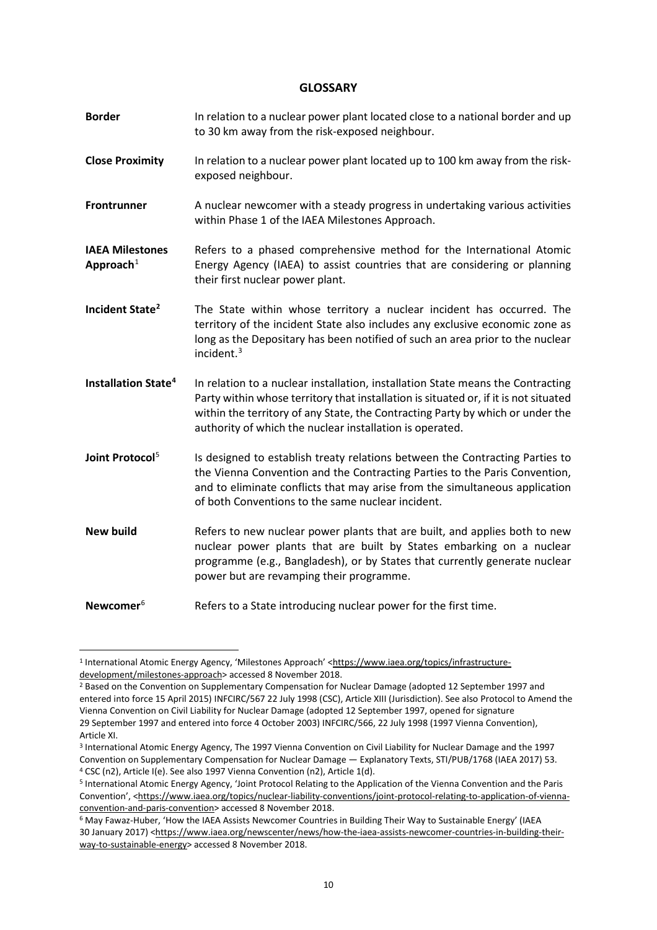#### **GLOSSARY**

- <span id="page-13-0"></span>**Border** In relation to a nuclear power plant located close to a national border and up to 30 km away from the risk-exposed neighbour.
- **Close Proximity** In relation to a nuclear power plant located up to 100 km away from the riskexposed neighbour.
- **Frontrunner** A nuclear newcomer with a steady progress in undertaking various activities within Phase 1 of the IAEA Milestones Approach.

**IAEA Milestones Approach**[1](#page-13-2) Refers to a phased comprehensive method for the International Atomic Energy Agency (IAEA) to assist countries that are considering or planning their first nuclear power plant.

- <span id="page-13-1"></span>**Incident Stat[e2](#page-13-3)** The State within whose territory a nuclear incident has occurred. The territory of the incident State also includes any exclusive economic zone as long as the Depositary has been notified of such an area prior to the nuclear incident. $3$
- **Installation State[4](#page-13-5)** In relation to a nuclear installation, installation State means the Contracting Party within whose territory that installation is situated or, if it is not situated within the territory of any State, the Contracting Party by which or under the authority of which the nuclear installation is operated.
- **Joint Protocol**<sup>[5](#page-13-6)</sup> Is designed to establish treaty relations between the Contracting Parties to the Vienna Convention and the Contracting Parties to the Paris Convention, and to eliminate conflicts that may arise from the simultaneous application of both Conventions to the same nuclear incident.
- **New build** Refers to new nuclear power plants that are built, and applies both to new nuclear power plants that are built by States embarking on a nuclear programme (e.g., Bangladesh), or by States that currently generate nuclear power but are revamping their programme.
- **Newcomer<sup>[6](#page-13-7)</sup>** Refers to a State introducing nuclear power for the first time.

<span id="page-13-2"></span><sup>&</sup>lt;sup>1</sup> International Atomic Energy Agency, 'Milestones Approach' [<https://www.iaea.org/topics/infrastructure](https://www.iaea.org/topics/infrastructure-development/milestones-approach)[development/milestones-approach>](https://www.iaea.org/topics/infrastructure-development/milestones-approach) accessed 8 November 2018.

<span id="page-13-3"></span><sup>2</sup> Based on the Convention on Supplementary Compensation for Nuclear Damage (adopted 12 September 1997 and entered into force 15 April 2015) INFCIRC/567 22 July 1998 (CSC), Article XIII (Jurisdiction). See also Protocol to Amend the Vienna Convention on Civil Liability for Nuclear Damage (adopted 12 September 1997, opened for signature 29 September 1997 and entered into force 4 October 2003) INFCIRC/566, 22 July 1998 (1997 Vienna Convention), Article XI.

<span id="page-13-4"></span><sup>3</sup> International Atomic Energy Agency, The 1997 Vienna Convention on Civil Liability for Nuclear Damage and the 1997 Convention on Supplementary Compensation for Nuclear Damage — Explanatory Texts, STI/PUB/1768 (IAEA 2017) 53. <sup>4</sup> CSC ([n2\)](#page-13-1), Article I(e). See also 1997 Vienna Convention ([n2\)](#page-13-1), Article 1(d).

<span id="page-13-6"></span><span id="page-13-5"></span><sup>5</sup> International Atomic Energy Agency, 'Joint Protocol Relating to the Application of the Vienna Convention and the Paris Convention', [<https://www.iaea.org/topics/nuclear-liability-conventions/joint-protocol-relating-to-application-of-vienna](https://www.iaea.org/topics/nuclear-liability-conventions/joint-protocol-relating-to-application-of-vienna-convention-and-paris-convention)[convention-and-paris-convention>](https://www.iaea.org/topics/nuclear-liability-conventions/joint-protocol-relating-to-application-of-vienna-convention-and-paris-convention) accessed 8 November 2018.

<span id="page-13-7"></span><sup>6</sup> May Fawaz-Huber, 'How the IAEA Assists Newcomer Countries in Building Their Way to Sustainable Energy' (IAEA 30 January 2017) [<https://www.iaea.org/newscenter/news/how-the-iaea-assists-newcomer-countries-in-building-their](https://www.iaea.org/newscenter/news/how-the-iaea-assists-newcomer-countries-in-building-their-way-to-sustainable-energy)[way-to-sustainable-energy>](https://www.iaea.org/newscenter/news/how-the-iaea-assists-newcomer-countries-in-building-their-way-to-sustainable-energy) accessed 8 November 2018.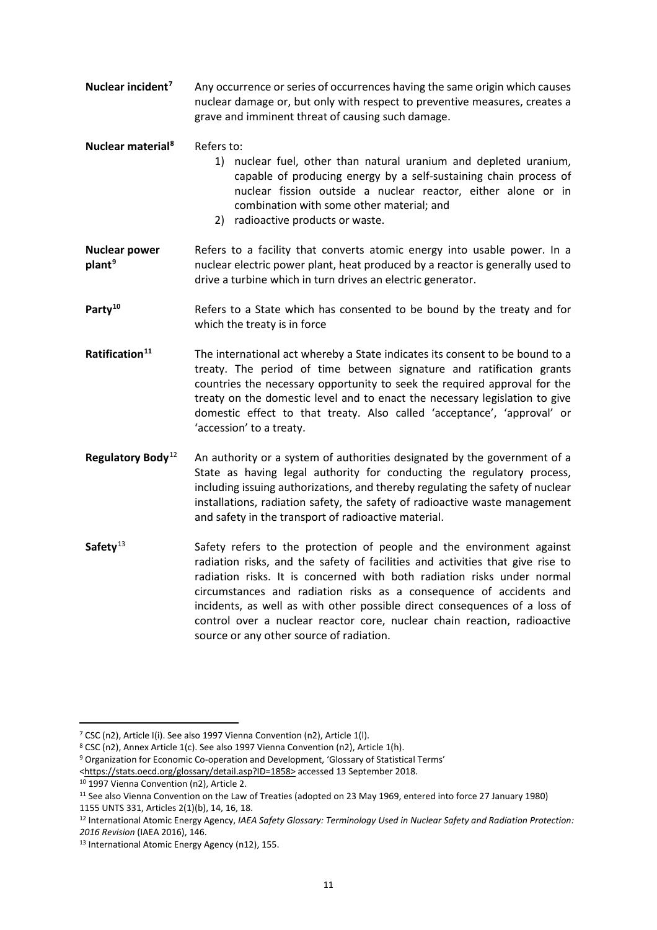**Nuclear incident[7](#page-14-1)** Any occurrence or series of occurrences having the same origin which causes nuclear damage or, but only with respect to preventive measures, creates a grave and imminent threat of causing such damage.

**Nuclear material[8](#page-14-2)** Refers to:

- 1) nuclear fuel, other than natural uranium and depleted uranium, capable of producing energy by a self-sustaining chain process of nuclear fission outside a nuclear reactor, either alone or in combination with some other material; and
	- 2) radioactive products or waste.
- **Nuclear power plant[9](#page-14-3)** Refers to a facility that converts atomic energy into usable power. In a nuclear electric power plant, heat produced by a reactor is generally used to drive a turbine which in turn drives an electric generator.
- **Party<sup>[10](#page-14-4)</sup>** Refers to a State which has consented to be bound by the treaty and for which the treaty is in force
- <span id="page-14-8"></span>**Ratification[11](#page-14-5)** The international act whereby a State indicates its consent to be bound to a treaty. The period of time between signature and ratification grants countries the necessary opportunity to seek the required approval for the treaty on the domestic level and to enact the necessary legislation to give domestic effect to that treaty. Also called 'acceptance', 'approval' or 'accession' to a treaty.
- <span id="page-14-0"></span>**Regulatory Body**<sup>[12](#page-14-6)</sup> An authority or a system of authorities designated by the government of a State as having legal authority for conducting the regulatory process, including issuing authorizations, and thereby regulating the safety of nuclear installations, radiation safety, the safety of radioactive waste management and safety in the transport of radioactive material.
- **Safety**<sup>[13](#page-14-7)</sup> Safety refers to the protection of people and the environment against radiation risks, and the safety of facilities and activities that give rise to radiation risks. It is concerned with both radiation risks under normal circumstances and radiation risks as a consequence of accidents and incidents, as well as with other possible direct consequences of a loss of control over a nuclear reactor core, nuclear chain reaction, radioactive source or any other source of radiation.

[<https://stats.oecd.org/glossary/detail.asp?ID=1858>](https://stats.oecd.org/glossary/detail.asp?ID=1858) accessed 13 September 2018.

<span id="page-14-1"></span> <sup>7</sup> CSC ([n2\)](#page-13-1), Article I(i). See also 1997 Vienna Convention ([n2\)](#page-13-1), Article 1(l).

<span id="page-14-2"></span><sup>8</sup> CSC ([n2\)](#page-13-1), Annex Article 1(c). See also 1997 Vienna Convention ([n2\)](#page-13-1), Article 1(h).

<span id="page-14-3"></span><sup>9</sup> Organization for Economic Co-operation and Development, 'Glossary of Statistical Terms'

<span id="page-14-4"></span><sup>&</sup>lt;sup>10</sup> 1997 Vienna Convention ([n2\)](#page-13-1), Article 2.

<span id="page-14-5"></span><sup>&</sup>lt;sup>11</sup> See also Vienna Convention on the Law of Treaties (adopted on 23 May 1969, entered into force 27 January 1980) 1155 UNTS 331, Articles 2(1)(b), 14, 16, 18.

<span id="page-14-6"></span><sup>12</sup> International Atomic Energy Agency, *IAEA Safety Glossary: Terminology Used in Nuclear Safety and Radiation Protection: 2016 Revision* (IAEA 2016), 146.

<span id="page-14-7"></span><sup>13</sup> International Atomic Energy Agency ([n12\)](#page-14-0), 155.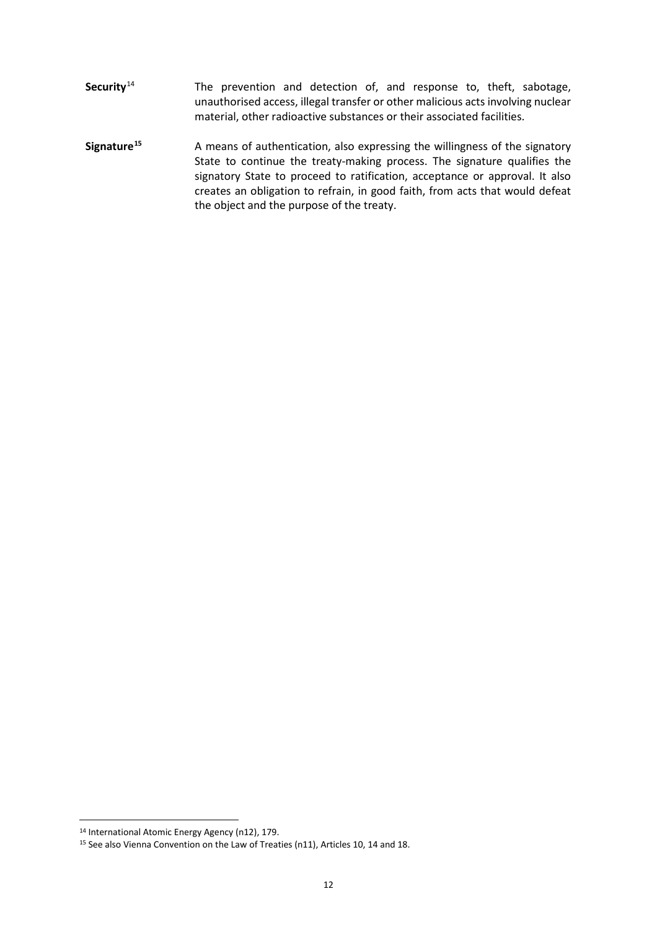- **Security**<sup>[14](#page-15-0)</sup> The prevention and detection of, and response to, theft, sabotage, unauthorised access, illegal transfer or other malicious acts involving nuclear material, other radioactive substances or their associated facilities.
- **Signature**<sup>[15](#page-15-1)</sup> A means of authentication, also expressing the willingness of the signatory State to continue the treaty-making process. The signature qualifies the signatory State to proceed to ratification, acceptance or approval. It also creates an obligation to refrain, in good faith, from acts that would defeat the object and the purpose of the treaty.

<span id="page-15-0"></span> <sup>14</sup> International Atomic Energy Agency ([n12\)](#page-14-0), 179.

<span id="page-15-1"></span><sup>15</sup> See also Vienna Convention on the Law of Treaties ([n11\)](#page-14-8), Articles 10, 14 and 18.